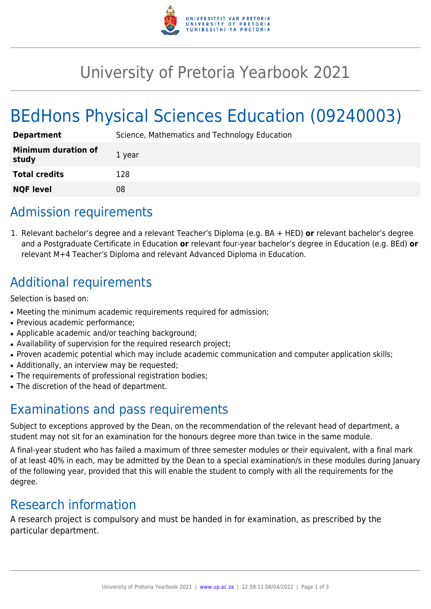

## University of Pretoria Yearbook 2021

# BEdHons Physical Sciences Education (09240003)

| <b>Department</b>                   | Science, Mathematics and Technology Education |
|-------------------------------------|-----------------------------------------------|
| <b>Minimum duration of</b><br>study | 1 year                                        |
| <b>Total credits</b>                | 128                                           |
| <b>NQF level</b>                    | 08                                            |

## Admission requirements

1. Relevant bachelor's degree and a relevant Teacher's Diploma (e.g. BA + HED) **or** relevant bachelor's degree and a Postgraduate Certificate in Education **or** relevant four-year bachelor's degree in Education (e.g. BEd) **or** relevant M+4 Teacher's Diploma and relevant Advanced Diploma in Education.

## Additional requirements

Selection is based on:

- Meeting the minimum academic requirements required for admission;
- Previous academic performance;
- Applicable academic and/or teaching background;
- Availability of supervision for the required research project;
- Proven academic potential which may include academic communication and computer application skills;
- Additionally, an interview may be requested;
- The requirements of professional registration bodies;
- The discretion of the head of department.

### Examinations and pass requirements

Subject to exceptions approved by the Dean, on the recommendation of the relevant head of department, a student may not sit for an examination for the honours degree more than twice in the same module.

A final-year student who has failed a maximum of three semester modules or their equivalent, with a final mark of at least 40% in each, may be admitted by the Dean to a special examination/s in these modules during January of the following year, provided that this will enable the student to comply with all the requirements for the degree.

#### Research information

A research project is compulsory and must be handed in for examination, as prescribed by the particular department.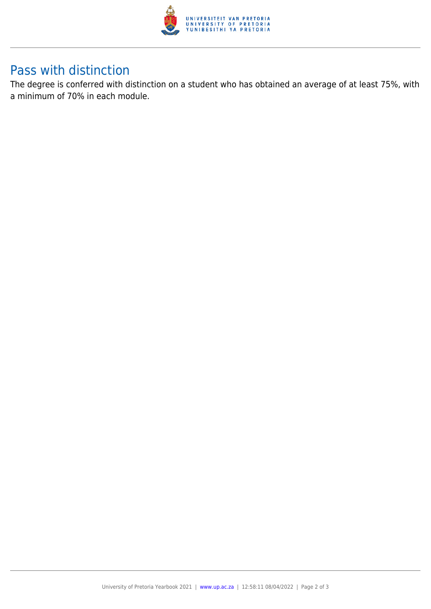

#### Pass with distinction

The degree is conferred with distinction on a student who has obtained an average of at least 75%, with a minimum of 70% in each module.